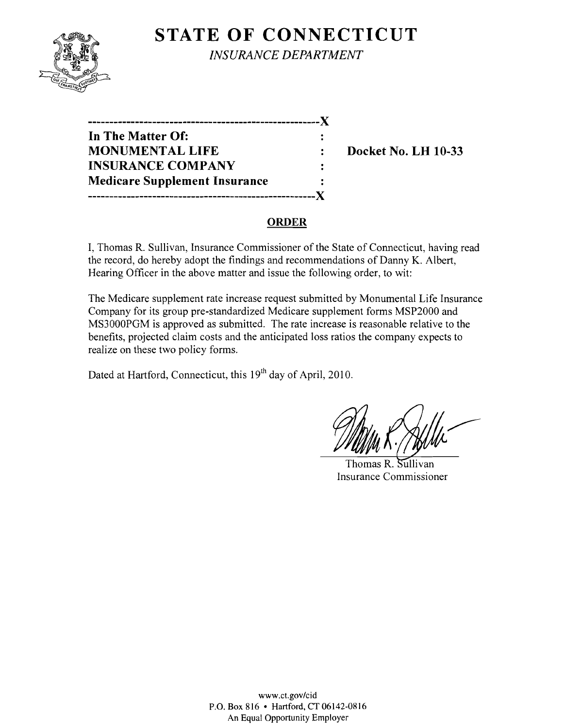

**STATE OF CONNECTICUT** *INSURANCE DEPARTMENT* 

| In The Matter Of:                    |  |
|--------------------------------------|--|
| <b>MONUMENTAL LIFE</b>               |  |
| <b>INSURANCE COMPANY</b>             |  |
| <b>Medicare Supplement Insurance</b> |  |
| <br>,________________                |  |

**Docket No. LH 10-33** 

### **ORDER**

I, Thomas R. Sullivan, Insurance Commissioner of the State of Connecticut, having read the record, do hereby adopt the findings and recommendations of Danny K. Albert, Hearing Officer in the above matter and issue the following order, to wit:

The Medicare supplement rate increase request submitted by Monumental Life Insurance Company for its group pre-standardized Medicare supplement forms MSP2000 and MS3000PGM is approved as submitted. The rate increase is reasonable relative to the benefits, projected claim costs and the anticipated loss ratios the company expects to realize on these two policy forms.

Dated at Hartford, Connecticut, this 19<sup>th</sup> day of April, 2010.

Thomas R. Sullivan Insurance Commissioner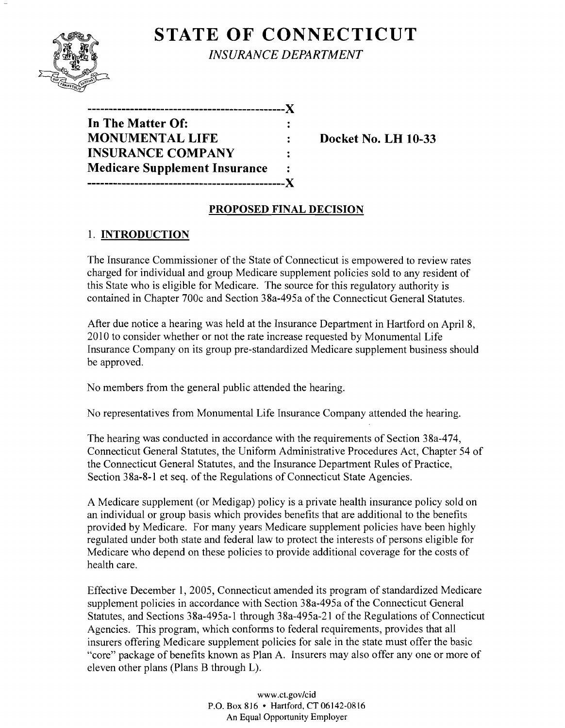

# **STATE OF CONNECTICUT** *INSURANCE DEPARTMENT*

| -------------                        |  |
|--------------------------------------|--|
| In The Matter Of:                    |  |
| <b>MONUMENTAL LIFE</b>               |  |
| <b>INSURANCE COMPANY</b>             |  |
| <b>Medicare Supplement Insurance</b> |  |
|                                      |  |

**Docket No. LH 10-33** 

# **PROPOSED FINAL DECISION**

# 1. **INTRODUCTION**

The Insurance Commissioner of the State of Connecticut is empowered to review rates charged for individual and group Medicare supplement policies sold to any resident of this State who is eligible for Medicare. The source for this regulatory authority is contained in Chapter 700c and Section 38a-495a of the Connecticut General Statutes.

After due notice a hearing was held at the Insurance Department in Hartford on April 8, 2010 to consider whether or not the rate increase requested by Monumental Life Insurance Company on its group pre-standardized Medicare supplement business should be approved.

No members from the general public attended the hearing.

No representatives from Monumental Life Insurance Company attended the hearing.

The hearing was conducted in accordance with the requirements of Section 38a-474, Connecticut General Statutes, the Uniform Administrative Procedures Act, Chapter 54 of the Connecticut General Statutes, and the Insurance Department Rules of Practice, Section 38a-8-l et seq. of the Regulations of Connecticut State Agencies.

A Medicare supplement (or Medigap) policy is a private health insurance policy sold on an individual or group basis which provides benefits that are additional to the benefits provided by Medicare. For many years Medicare supplement policies have been highly regulated under both state and federal law to protect the interests of persons eligible for Medicare who depend on these policies to provide additional coverage for the costs of health care.

Effective December 1, 2005, Connecticut amended its program of standardized Medicare supplement policies in accordance with Section 38a-495a of the Connecticut General Statutes, and Sections 38a-495a-1 through 38a-495a-21 of the Regulations of Connecticut Agencies. This program, which conforms to federal requirements, provides that all insurers offering Medicare supplement policies for sale in the state must offer the basic "core" package of benefits known as Plan A. Insurers may also offer anyone or more of eleven other plans (Plans B through L).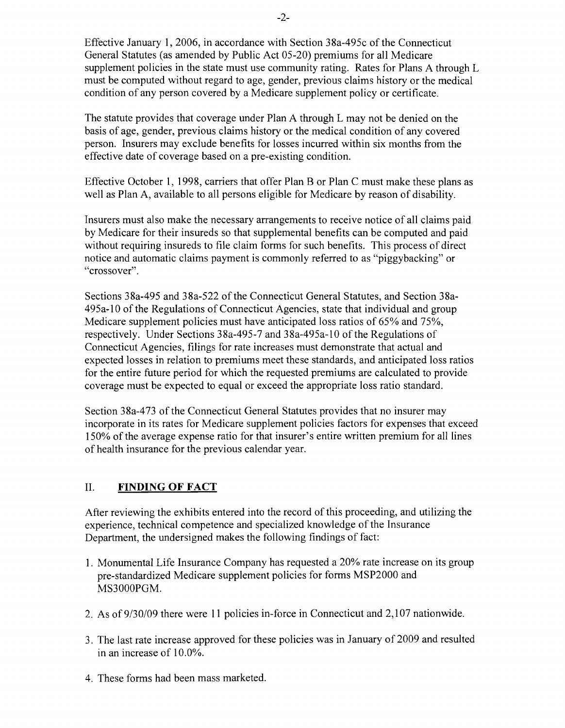Effective January 1,2006, in accordance with Section 38a-495c of the Connecticut General Statutes (as amended by Public Act 05-20) premiums for all Medicare supplement policies in the state must use community rating. Rates for Plans A through L must be computed without regard to age, gender, previous claims history or the medical condition of any person covered by a Medicare supplement policy or certificate.

The statute provides that coverage under Plan A through L may not be denied on the basis of age, gender, previous claims history or the medical condition of any covered person. Insurers may exclude benefits for losses incurred within six months from the effective date of coverage based on a pre-existing condition.

Effective October 1, 1998, carriers that offer Plan B or Plan C must make these plans as well as Plan A, available to all persons eligible for Medicare by reason of disability.

Insurers must also make the necessary arrangements to receive notice of all claims paid by Medicare for their insureds so that supplemental benefits can be computed and paid without requiring insureds to file claim forms for such benefits. This process of direct notice and automatic claims payment is commonly referred to as "piggybacking" or "crossover".

Sections 38a-495 and 38a-522 of the Connecticut General Statutes, and Section 38a-495a-l0 of the Regulations of Connecticut Agencies, state that individual and group Medicare supplement policies must have anticipated loss ratios of 65% and 75%, respectively. Under Sections 38a-495-7 and 38a-495a-l0 of the Regulations of Connecticut Agencies, filings for rate increases must demonstrate that actual and expected losses in relation to premiums meet these standards, and anticipated loss ratios for the entire future period for which the requested premiums are calculated to provide coverage must be expected to equal or exceed the appropriate loss ratio standard.

Section 38a-473 of the Connecticut General Statutes provides that no insurer may incorporate in its rates for Medicare supplement policies factors for expenses that exceed 150% of the average expense ratio for that insurer's entire written premium for all lines of health insurance for the previous calendar year.

### II. **FINDING OF FACT**

After reviewing the exhibits entered into the record of this proceeding, and utilizing the experience, technical competence and specialized knowledge of the Insurance Department, the undersigned makes the following findings of fact:

- 1. Monumental Life Insurance Company has requested a 20% rate increase on its group pre-standardized Medicare supplement policies for forms MSP2000 and MS3000PGM.
- 2. As of 9/30/09 there were 11 policies in-force in Connecticut and 2,107 nationwide.
- 3. The last rate increase approved for these policies was in January of 2009 and resulted in an increase of 10.0%.
- 4. These forms had been mass marketed.